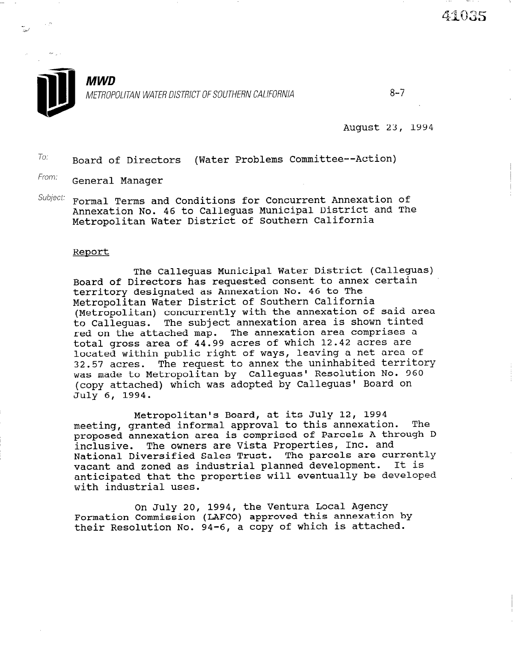

August 23, 1994

 $T$ o: Board of Directors (Water Problems Committee--Action)

- From: General Manager
- $Subject:$  Formal Terms and Conditions for Concurrent Annexation of Annexation No. 46 to Calleguas Municipal District and The Metropolitan Water District of Southern California

## Report

The Calleguas Municipal Water District (Calleguas) Board of Directors has requested consent to annex certain territory designated as Annexation No. 46 to The Metropolitan Water District of Southern California (Metropolitan) concurrently with the annexation of said area to Calleguas. The subject annexation area is shown tinted red on the attached map. The annexation area comprises a total gross area of 44.99 acres of which 12.42 acres are located within public right of ways, leaving a net area of 32.57 acres. The request to annex the uninhabited territory was made to Metropolitan by Calleguas' Resolution No. 960 (copy attached) which was adopted by Calleguas' Board on July 6, 1994.

Metropolitan's Board, at its July 12, 1994 meeting, granted informal approval to this annexation. The proposed annexation area is comprised of Parcels A through D inclusive. The owners are Vista Properties, Inc. and National Diversified Sales Trust. The parcels are currently vacant and zoned as industrial planned development. It is vacant and zoned as industrial pranned development is in anticipated that the

On July 20, 1994, the Ventura Local Agency ON JULY 20, 1994, the ventura hotal Agency<br>Formation Commission (LAFCO) approved this approvation by rormation Commission (LAFCO) approved this annexation<br>their Resolution No. 04-6, a copy of which is attache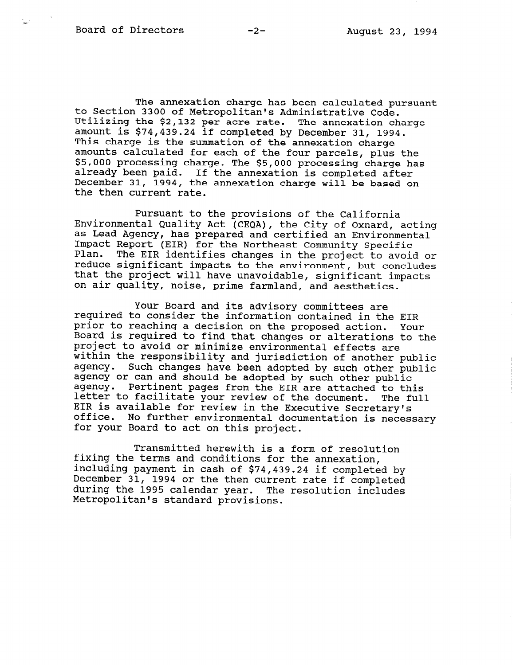to Section 3300 of Metropolitan's Administrative Code. The annexation charge has been calculated pursuant Utilizing the \$2,132 per acre rate. The annexation charge amount is \$74,439.24 if completed by December 31, 1994. This charge is the summation of the annexation charge amounts calculated for each of the four parcels, plus the \$5,000 processing charge. The \$5,000 processing charge has already been paid. If the annexation is completed after December 31, 1994, the annexation charge will be based on the then current rate.

Pursuant to the provisions of the California Environmental Quality Act (CEQA), the City of Oxnard, acting as Lead Agency, has prepared and certified an Environmental Impact Report (EIR) for the Northeast Community Specific Plan. The EIR identifies changes in the project to avoid or reduce significant impacts to the environment, but concludes that the project will have unavoidable, significant impacts on air quality, noise, prime farmland, and aesthetics.

Your Board and its advisory committees are required to consider the information contained in the EIR prior to reaching a decision on the proposed action. Your Board is required to find that changes or alterations to the project to avoid or minimize environmental effects are within the responsibility and jurisdiction of another public agency. Such changes have been adopted by such other public agency or can and should be adopted by such other public agency. Pertinent pages from the EIR are attached to this letter to facilitate your review of the document. The full EIR is available for review in the Executive Secretary's office. No further environmental documentation is necessary for your Board to act on this project.

Transmitted herewith is a form of resolution fixing the terms and conditions for the annexation, including payment in cash of \$74,439.24 if completed by December 31, 1994 or the then current rate if completed during the 1995 calendar year. The resolution includes Metropolitan's standard provisions.